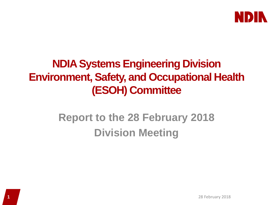

#### **NDIASystems Engineering Division Environment, Safety, and Occupational Health (ESOH) Committee**

### **Report to the 28 February 2018 Division Meeting**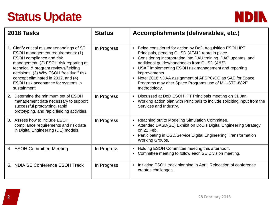# **Status Update**



| 2018 Tasks                                                                                                                                                                                                                                                                                                                                    | <b>Status</b> | Accomplishments (deliverables, etc.)                                                                                                                                                                                                                                                                                                                                                                                                                                                         |
|-----------------------------------------------------------------------------------------------------------------------------------------------------------------------------------------------------------------------------------------------------------------------------------------------------------------------------------------------|---------------|----------------------------------------------------------------------------------------------------------------------------------------------------------------------------------------------------------------------------------------------------------------------------------------------------------------------------------------------------------------------------------------------------------------------------------------------------------------------------------------------|
| 1. Clarify critical misunderstandings of SE<br>ESOH management requirements: (1)<br><b>ESOH</b> compliance and risk<br>management, (2) ESOH risk reporting at<br>technical & program reviews/fielding<br>decisions, (3) Why ESOH "residual" risk<br>concept eliminated in 2012, and (4)<br>ESOH risk acceptance for systems in<br>sustainment | In Progress   | Being considered for action by DoD Acquisition ESOH IPT<br>$\bullet$<br>Principals, pending OUSD (AT&L) reorg in place.<br>Considering incorporating into DAU training, DAG updates, and<br>$\bullet$<br>additional guides/handbooks from OUSD (A&S).<br>USAF implementing ESOH risk management and reporting<br>$\bullet$<br>improvements.<br>Note: 2018 NDAA assignment of AFSPC/CC as SAE for Space<br>$\bullet$<br>Programs may alter Space Programs use of MIL-STD-882E<br>methodology. |
| Determine the minimum set of ESOH<br>2.<br>management data necessary to support<br>successful prototyping, rapid<br>prototyping, and rapid fielding activities.                                                                                                                                                                               | In Progress   | Discussed at DoD ESOH IPT Principals meeting on 31 Jan.<br>$\bullet$<br>Working action plan with Principals to include soliciting input from the<br>$\bullet$<br>Services and Industry.                                                                                                                                                                                                                                                                                                      |
| 3. Assess how to include ESOH<br>compliance requirements and risk data<br>in Digital Engineering (DE) models                                                                                                                                                                                                                                  | In Progress   | Reaching out to Modeling Simulation Committee.<br>$\bullet$<br>Attended DASD(SE) Exhibit on DoD's Digital Engineering Strategy<br>$\bullet$<br>on 21 Feb.<br>Participating in OSD/Service Digital Engineering Transformation<br>$\bullet$<br><b>Working Groups.</b>                                                                                                                                                                                                                          |
| 4. ESOH Committee Meeting                                                                                                                                                                                                                                                                                                                     | In Progress   | Holding ESOH Committee meeting this afternoon.<br>Committee meeting to follow each SE Division meeting.                                                                                                                                                                                                                                                                                                                                                                                      |
| 5. NDIA SE Conference ESOH Track                                                                                                                                                                                                                                                                                                              | In Progress   | Initiating ESOH track planning in April; Relocation of conference<br>creates challenges.                                                                                                                                                                                                                                                                                                                                                                                                     |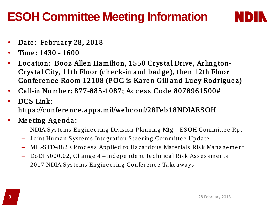## **ESOH Committee Meeting Information**



- Date: February 28, 2018
- Time : 1430 1600
- Location: Booz Allen Hamilton, 1550 Crystal Drive, Arlington-Crystal City, 11th Floor (check-in and badge), then 12th Floor Conference Room 12108 (POC is Karen Gill and Lucy Rodriguez)
- Call-in Number: 877-885-1087; Access Code 8078961500#
- DCS Link: https ://c onfe re nc e.a pps.mil/we bc onf/28Fe b18NDIAESOH
- Meeting Agenda:
	- NDIA Sys te ms Eng ine e ring Divis ion Pla nning Mtg ESOH Committe e Rpt
	- Joint Human Systems Integration Steering Committee Update
	- MIL-STD-882E Process Applied to Hazardous Materials Risk Management
	- DoDI 5000.02, Change 4 Independent Technical Risk Assessments
	- 2017 NDIA Sys te ms Eng ine e ring Confe re nc e Ta ke a wa ys